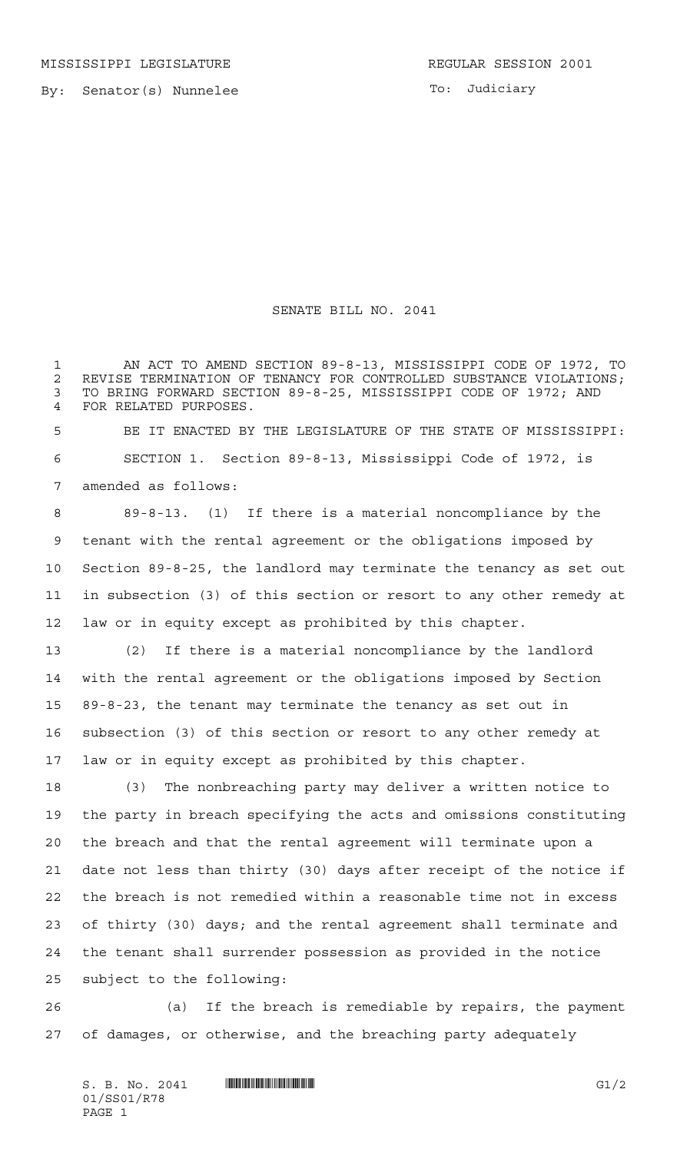By: Senator(s) Nunnelee

To: Judiciary

## SENATE BILL NO. 2041

 AN ACT TO AMEND SECTION 89-8-13, MISSISSIPPI CODE OF 1972, TO 2 REVISE TERMINATION OF TENANCY FOR CONTROLLED SUBSTANCE VIOLATIONS;<br>3 TO BRING FORWARD SECTION 89-8-25, MISSISSIPPI CODE OF 1972; AND TO BRING FORWARD SECTION 89-8-25, MISSISSIPPI CODE OF 1972; AND FOR RELATED PURPOSES.

 BE IT ENACTED BY THE LEGISLATURE OF THE STATE OF MISSISSIPPI: SECTION 1. Section 89-8-13, Mississippi Code of 1972, is amended as follows:

 89-8-13. (1) If there is a material noncompliance by the tenant with the rental agreement or the obligations imposed by Section 89-8-25, the landlord may terminate the tenancy as set out in subsection (3) of this section or resort to any other remedy at law or in equity except as prohibited by this chapter.

 (2) If there is a material noncompliance by the landlord with the rental agreement or the obligations imposed by Section 89-8-23, the tenant may terminate the tenancy as set out in subsection (3) of this section or resort to any other remedy at law or in equity except as prohibited by this chapter.

 (3) The nonbreaching party may deliver a written notice to the party in breach specifying the acts and omissions constituting the breach and that the rental agreement will terminate upon a date not less than thirty (30) days after receipt of the notice if the breach is not remedied within a reasonable time not in excess of thirty (30) days; and the rental agreement shall terminate and the tenant shall surrender possession as provided in the notice subject to the following:

 (a) If the breach is remediable by repairs, the payment of damages, or otherwise, and the breaching party adequately

 $S. B. No. 2041$   $\blacksquare$   $\blacksquare$   $\blacksquare$   $\blacksquare$   $\blacksquare$   $\blacksquare$   $\blacksquare$   $\blacksquare$   $\blacksquare$   $\blacksquare$   $\blacksquare$   $\blacksquare$   $\blacksquare$   $\blacksquare$   $\blacksquare$   $\blacksquare$   $\blacksquare$   $\blacksquare$   $\blacksquare$   $\blacksquare$   $\blacksquare$   $\blacksquare$   $\blacksquare$   $\blacksquare$   $\blacksquare$   $\blacksquare$   $\blacksquare$   $\blacksquare$   $\blacksquare$   $\blacks$ 01/SS01/R78 PAGE 1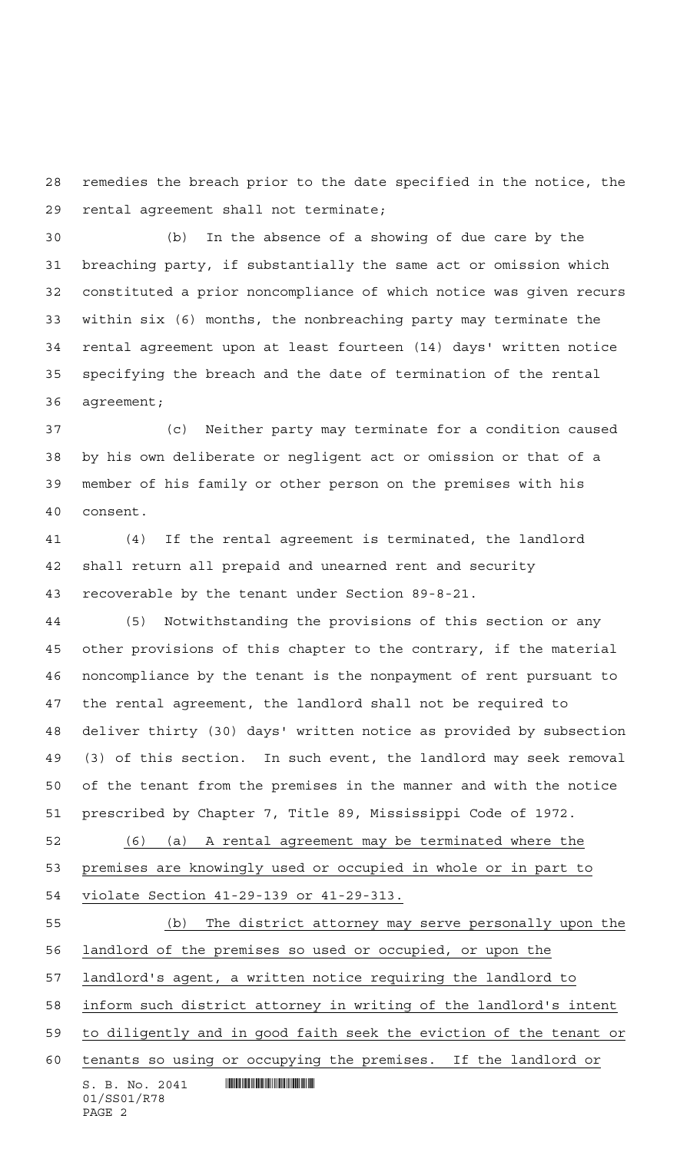remedies the breach prior to the date specified in the notice, the rental agreement shall not terminate;

 (b) In the absence of a showing of due care by the breaching party, if substantially the same act or omission which constituted a prior noncompliance of which notice was given recurs within six (6) months, the nonbreaching party may terminate the rental agreement upon at least fourteen (14) days' written notice specifying the breach and the date of termination of the rental agreement;

 (c) Neither party may terminate for a condition caused by his own deliberate or negligent act or omission or that of a member of his family or other person on the premises with his consent.

 (4) If the rental agreement is terminated, the landlord shall return all prepaid and unearned rent and security recoverable by the tenant under Section 89-8-21.

 (5) Notwithstanding the provisions of this section or any other provisions of this chapter to the contrary, if the material noncompliance by the tenant is the nonpayment of rent pursuant to the rental agreement, the landlord shall not be required to deliver thirty (30) days' written notice as provided by subsection (3) of this section. In such event, the landlord may seek removal of the tenant from the premises in the manner and with the notice prescribed by Chapter 7, Title 89, Mississippi Code of 1972.

 (6) (a) A rental agreement may be terminated where the premises are knowingly used or occupied in whole or in part to violate Section 41-29-139 or 41-29-313.

 $S. B. No. 2041$  . Suppose the set of  $S. B. N \circ A. 2041$ 01/SS01/R78 (b) The district attorney may serve personally upon the landlord of the premises so used or occupied, or upon the landlord's agent, a written notice requiring the landlord to inform such district attorney in writing of the landlord's intent to diligently and in good faith seek the eviction of the tenant or tenants so using or occupying the premises. If the landlord or

PAGE 2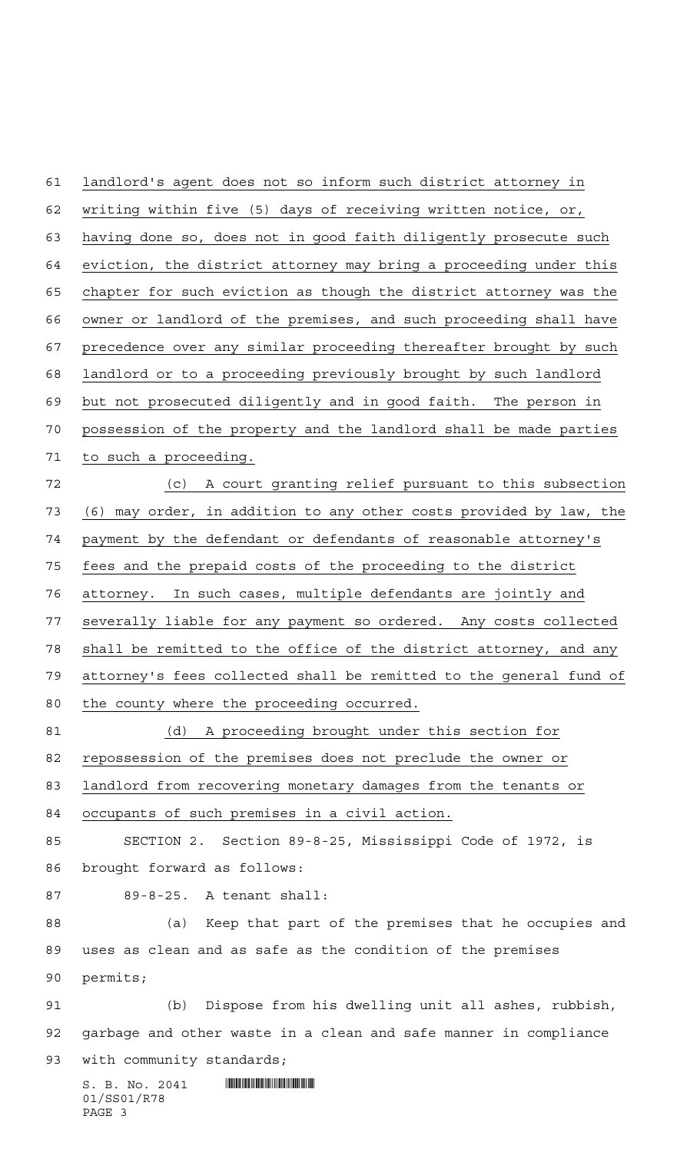landlord's agent does not so inform such district attorney in writing within five (5) days of receiving written notice, or, having done so, does not in good faith diligently prosecute such eviction, the district attorney may bring a proceeding under this chapter for such eviction as though the district attorney was the owner or landlord of the premises, and such proceeding shall have precedence over any similar proceeding thereafter brought by such landlord or to a proceeding previously brought by such landlord but not prosecuted diligently and in good faith. The person in possession of the property and the landlord shall be made parties to such a proceeding. (c) A court granting relief pursuant to this subsection (6) may order, in addition to any other costs provided by law, the payment by the defendant or defendants of reasonable attorney's fees and the prepaid costs of the proceeding to the district attorney. In such cases, multiple defendants are jointly and severally liable for any payment so ordered. Any costs collected 78 shall be remitted to the office of the district attorney, and any attorney's fees collected shall be remitted to the general fund of the county where the proceeding occurred. (d) A proceeding brought under this section for repossession of the premises does not preclude the owner or landlord from recovering monetary damages from the tenants or occupants of such premises in a civil action. SECTION 2. Section 89-8-25, Mississippi Code of 1972, is

brought forward as follows:

89-8-25. A tenant shall:

 (a) Keep that part of the premises that he occupies and uses as clean and as safe as the condition of the premises permits;

 (b) Dispose from his dwelling unit all ashes, rubbish, garbage and other waste in a clean and safe manner in compliance 93 with community standards;

 $S. B. No. 2041$  . Suppose the set of  $S. B. N \circ A. 2041$ 01/SS01/R78 PAGE 3